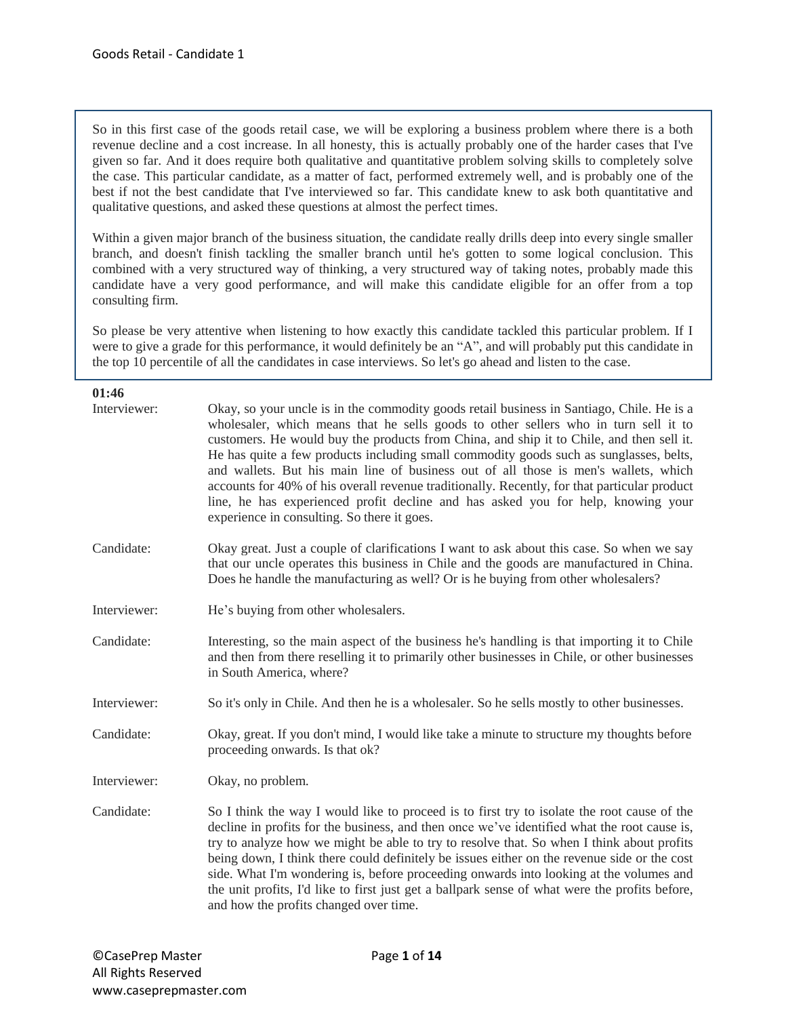So in this first case of the goods retail case, we will be exploring a business problem where there is a both revenue decline and a cost increase. In all honesty, this is actually probably one of the harder cases that I've given so far. And it does require both qualitative and quantitative problem solving skills to completely solve the case. This particular candidate, as a matter of fact, performed extremely well, and is probably one of the best if not the best candidate that I've interviewed so far. This candidate knew to ask both quantitative and qualitative questions, and asked these questions at almost the perfect times.

Within a given major branch of the business situation, the candidate really drills deep into every single smaller branch, and doesn't finish tackling the smaller branch until he's gotten to some logical conclusion. This combined with a very structured way of thinking, a very structured way of taking notes, probably made this candidate have a very good performance, and will make this candidate eligible for an offer from a top consulting firm.

So please be very attentive when listening to how exactly this candidate tackled this particular problem. If I were to give a grade for this performance, it would definitely be an "A", and will probably put this candidate in the top 10 percentile of all the candidates in case interviews. So let's go ahead and listen to the case.

#### **01:46**

| Interviewer: | Okay, so your uncle is in the commodity goods retail business in Santiago, Chile. He is a<br>wholesaler, which means that he sells goods to other sellers who in turn sell it to<br>customers. He would buy the products from China, and ship it to Chile, and then sell it.<br>He has quite a few products including small commodity goods such as sunglasses, belts,<br>and wallets. But his main line of business out of all those is men's wallets, which<br>accounts for 40% of his overall revenue traditionally. Recently, for that particular product<br>line, he has experienced profit decline and has asked you for help, knowing your<br>experience in consulting. So there it goes. |
|--------------|--------------------------------------------------------------------------------------------------------------------------------------------------------------------------------------------------------------------------------------------------------------------------------------------------------------------------------------------------------------------------------------------------------------------------------------------------------------------------------------------------------------------------------------------------------------------------------------------------------------------------------------------------------------------------------------------------|
| Candidate:   | Okay great. Just a couple of clarifications I want to ask about this case. So when we say<br>that our uncle operates this business in Chile and the goods are manufactured in China.<br>Does he handle the manufacturing as well? Or is he buying from other wholesalers?                                                                                                                                                                                                                                                                                                                                                                                                                        |
| Interviewer: | He's buying from other wholesalers.                                                                                                                                                                                                                                                                                                                                                                                                                                                                                                                                                                                                                                                              |
| Candidate:   | Interesting, so the main aspect of the business he's handling is that importing it to Chile<br>and then from there reselling it to primarily other businesses in Chile, or other businesses<br>in South America, where?                                                                                                                                                                                                                                                                                                                                                                                                                                                                          |
| Interviewer: | So it's only in Chile. And then he is a wholesaler. So he sells mostly to other businesses.                                                                                                                                                                                                                                                                                                                                                                                                                                                                                                                                                                                                      |
| Candidate:   | Okay, great. If you don't mind, I would like take a minute to structure my thoughts before<br>proceeding onwards. Is that ok?                                                                                                                                                                                                                                                                                                                                                                                                                                                                                                                                                                    |
| Interviewer: | Okay, no problem.                                                                                                                                                                                                                                                                                                                                                                                                                                                                                                                                                                                                                                                                                |
| Candidate:   | So I think the way I would like to proceed is to first try to isolate the root cause of the<br>decline in profits for the business, and then once we've identified what the root cause is,<br>try to analyze how we might be able to try to resolve that. So when I think about profits<br>being down, I think there could definitely be issues either on the revenue side or the cost<br>side. What I'm wondering is, before proceeding onwards into looking at the volumes and<br>the unit profits, I'd like to first just get a ballpark sense of what were the profits before,<br>and how the profits changed over time.                                                                     |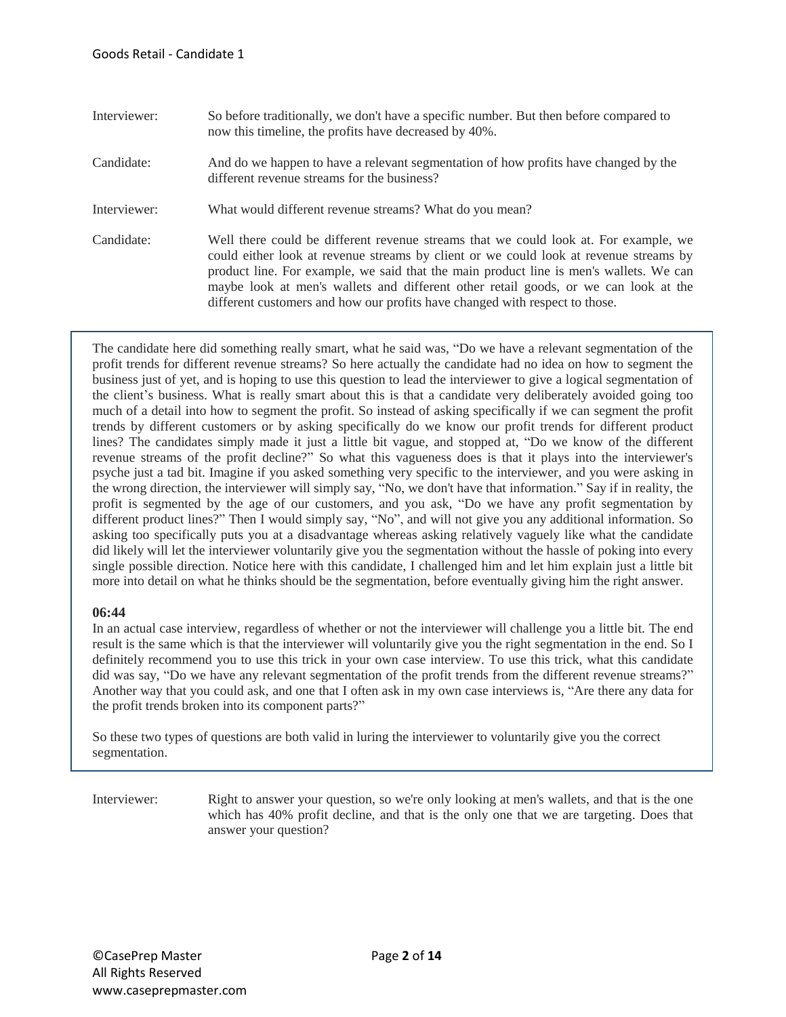Interviewer: So before traditionally, we don't have a specific number. But then before compared to now this timeline, the profits have decreased by 40%. Candidate: And do we happen to have a relevant segmentation of how profits have changed by the different revenue streams for the business? Interviewer: What would different revenue streams? What do you mean? Candidate: Well there could be different revenue streams that we could look at. For example, we could either look at revenue streams by client or we could look at revenue streams by product line. For example, we said that the main product line is men's wallets. We can maybe look at men's wallets and different other retail goods, or we can look at the different customers and how our profits have changed with respect to those.

The candidate here did something really smart, what he said was, "Do we have a relevant segmentation of the profit trends for different revenue streams? So here actually the candidate had no idea on how to segment the business just of yet, and is hoping to use this question to lead the interviewer to give a logical segmentation of the client's business. What is really smart about this is that a candidate very deliberately avoided going too much of a detail into how to segment the profit. So instead of asking specifically if we can segment the profit trends by different customers or by asking specifically do we know our profit trends for different product lines? The candidates simply made it just a little bit vague, and stopped at, "Do we know of the different revenue streams of the profit decline?" So what this vagueness does is that it plays into the interviewer's psyche just a tad bit. Imagine if you asked something very specific to the interviewer, and you were asking in the wrong direction, the interviewer will simply say, "No, we don't have that information." Say if in reality, the profit is segmented by the age of our customers, and you ask, "Do we have any profit segmentation by different product lines?" Then I would simply say, "No", and will not give you any additional information. So asking too specifically puts you at a disadvantage whereas asking relatively vaguely like what the candidate did likely will let the interviewer voluntarily give you the segmentation without the hassle of poking into every single possible direction. Notice here with this candidate, I challenged him and let him explain just a little bit more into detail on what he thinks should be the segmentation, before eventually giving him the right answer.

# **06:44**

In an actual case interview, regardless of whether or not the interviewer will challenge you a little bit. The end result is the same which is that the interviewer will voluntarily give you the right segmentation in the end. So I definitely recommend you to use this trick in your own case interview. To use this trick, what this candidate did was say, "Do we have any relevant segmentation of the profit trends from the different revenue streams?" Another way that you could ask, and one that I often ask in my own case interviews is, "Are there any data for the profit trends broken into its component parts?"

So these two types of questions are both valid in luring the interviewer to voluntarily give you the correct segmentation.

Interviewer: Right to answer your question, so we're only looking at men's wallets, and that is the one which has 40% profit decline, and that is the only one that we are targeting. Does that answer your question?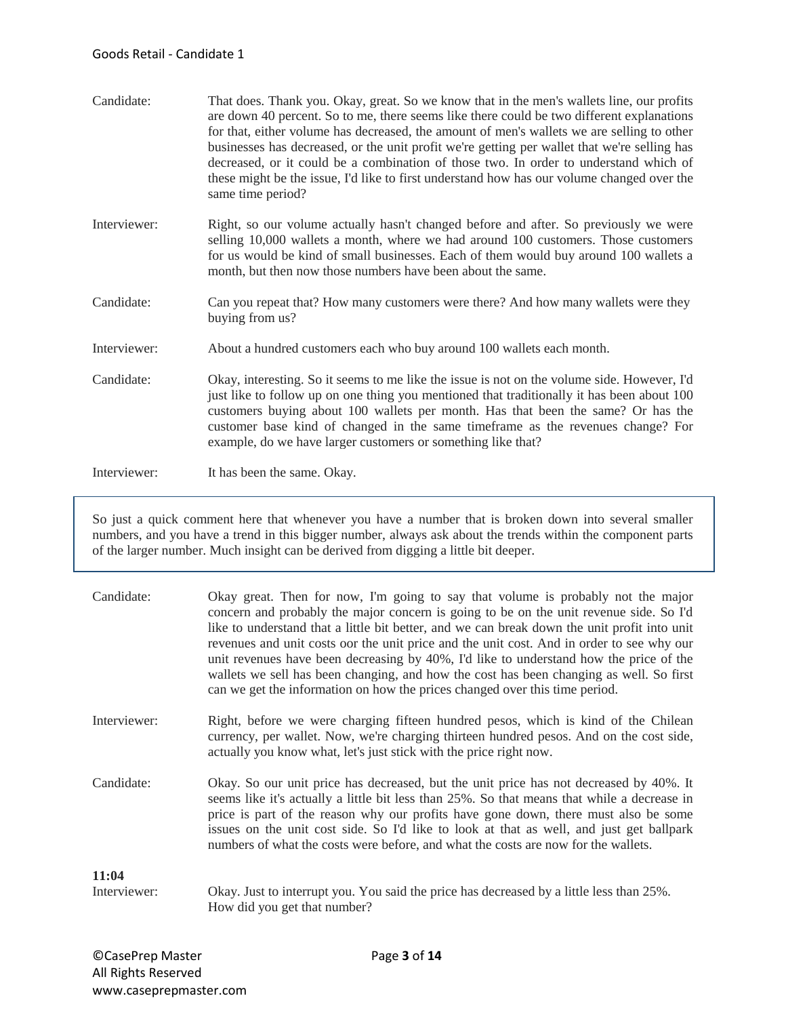## Goods Retail - Candidate 1

| Candidate:   | That does. Thank you. Okay, great. So we know that in the men's wallets line, our profits<br>are down 40 percent. So to me, there seems like there could be two different explanations<br>for that, either volume has decreased, the amount of men's wallets we are selling to other<br>businesses has decreased, or the unit profit we're getting per wallet that we're selling has<br>decreased, or it could be a combination of those two. In order to understand which of<br>these might be the issue, I'd like to first understand how has our volume changed over the<br>same time period? |
|--------------|--------------------------------------------------------------------------------------------------------------------------------------------------------------------------------------------------------------------------------------------------------------------------------------------------------------------------------------------------------------------------------------------------------------------------------------------------------------------------------------------------------------------------------------------------------------------------------------------------|
| Interviewer: | Right, so our volume actually hasn't changed before and after. So previously we were<br>selling 10,000 wallets a month, where we had around 100 customers. Those customers<br>for us would be kind of small businesses. Each of them would buy around 100 wallets a<br>month, but then now those numbers have been about the same.                                                                                                                                                                                                                                                               |
| Candidate:   | Can you repeat that? How many customers were there? And how many wallets were they<br>buying from us?                                                                                                                                                                                                                                                                                                                                                                                                                                                                                            |
| Interviewer: | About a hundred customers each who buy around 100 wallets each month.                                                                                                                                                                                                                                                                                                                                                                                                                                                                                                                            |
| Candidate:   | Okay, interesting. So it seems to me like the issue is not on the volume side. However, I'd<br>just like to follow up on one thing you mentioned that traditionally it has been about 100<br>customers buying about 100 wallets per month. Has that been the same? Or has the<br>customer base kind of changed in the same timeframe as the revenues change? For<br>example, do we have larger customers or something like that?                                                                                                                                                                 |
| Interviewer: | It has been the same. Okay.                                                                                                                                                                                                                                                                                                                                                                                                                                                                                                                                                                      |

So just a quick comment here that whenever you have a number that is broken down into several smaller numbers, and you have a trend in this bigger number, always ask about the trends within the component parts of the larger number. Much insight can be derived from digging a little bit deeper.

| Candidate:            | Okay great. Then for now, I'm going to say that volume is probably not the major<br>concern and probably the major concern is going to be on the unit revenue side. So I'd<br>like to understand that a little bit better, and we can break down the unit profit into unit<br>revenues and unit costs oor the unit price and the unit cost. And in order to see why our<br>unit revenues have been decreasing by 40%, I'd like to understand how the price of the<br>wallets we sell has been changing, and how the cost has been changing as well. So first<br>can we get the information on how the prices changed over this time period. |
|-----------------------|---------------------------------------------------------------------------------------------------------------------------------------------------------------------------------------------------------------------------------------------------------------------------------------------------------------------------------------------------------------------------------------------------------------------------------------------------------------------------------------------------------------------------------------------------------------------------------------------------------------------------------------------|
| Interviewer:          | Right, before we were charging fifteen hundred pesos, which is kind of the Chilean<br>currency, per wallet. Now, we're charging thirteen hundred pesos. And on the cost side,<br>actually you know what, let's just stick with the price right now.                                                                                                                                                                                                                                                                                                                                                                                         |
| Candidate:            | Okay. So our unit price has decreased, but the unit price has not decreased by 40%. It<br>seems like it's actually a little bit less than 25%. So that means that while a decrease in<br>price is part of the reason why our profits have gone down, there must also be some<br>issues on the unit cost side. So I'd like to look at that as well, and just get ballpark<br>numbers of what the costs were before, and what the costs are now for the wallets.                                                                                                                                                                              |
| 11:04<br>Interviewer: | Okay. Just to interrupt you. You said the price has decreased by a little less than 25%.<br>How did you get that number?                                                                                                                                                                                                                                                                                                                                                                                                                                                                                                                    |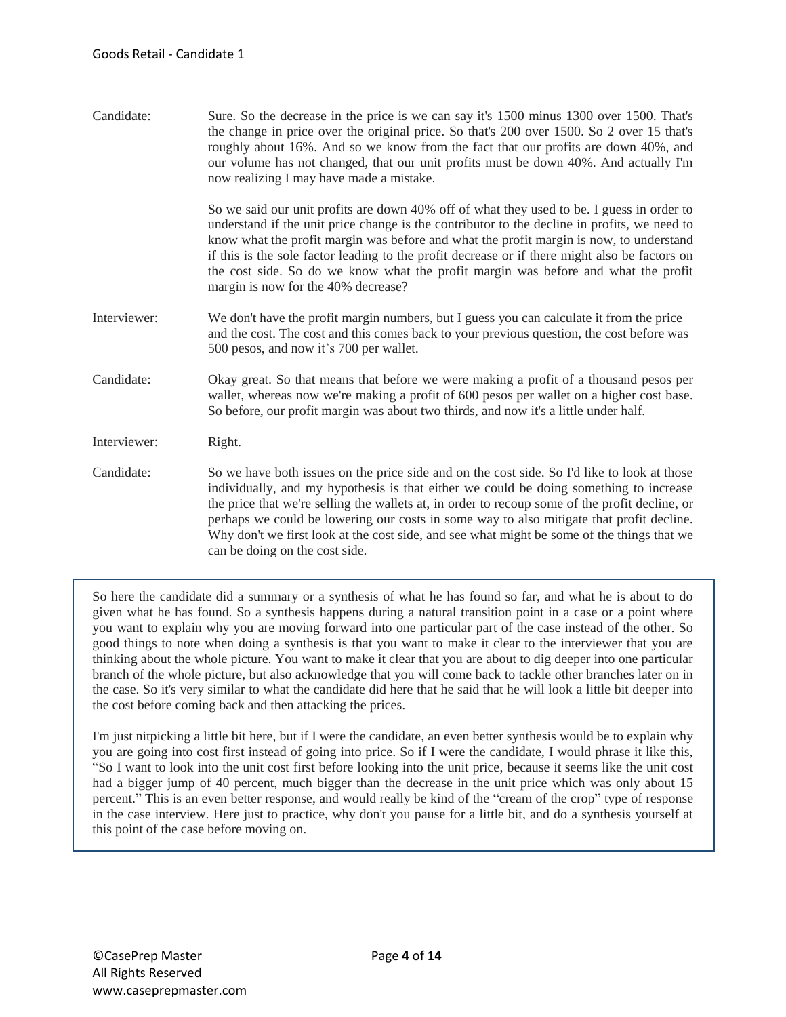Candidate: Sure. So the decrease in the price is we can say it's 1500 minus 1300 over 1500. That's the change in price over the original price. So that's 200 over 1500. So 2 over 15 that's roughly about 16%. And so we know from the fact that our profits are down 40%, and our volume has not changed, that our unit profits must be down 40%. And actually I'm now realizing I may have made a mistake.

> So we said our unit profits are down 40% off of what they used to be. I guess in order to understand if the unit price change is the contributor to the decline in profits, we need to know what the profit margin was before and what the profit margin is now, to understand if this is the sole factor leading to the profit decrease or if there might also be factors on the cost side. So do we know what the profit margin was before and what the profit margin is now for the 40% decrease?

- Interviewer: We don't have the profit margin numbers, but I guess you can calculate it from the price and the cost. The cost and this comes back to your previous question, the cost before was 500 pesos, and now it's 700 per wallet.
- Candidate: Okay great. So that means that before we were making a profit of a thousand pesos per wallet, whereas now we're making a profit of 600 pesos per wallet on a higher cost base. So before, our profit margin was about two thirds, and now it's a little under half.

Interviewer: Right.

Candidate: So we have both issues on the price side and on the cost side. So I'd like to look at those individually, and my hypothesis is that either we could be doing something to increase the price that we're selling the wallets at, in order to recoup some of the profit decline, or perhaps we could be lowering our costs in some way to also mitigate that profit decline. Why don't we first look at the cost side, and see what might be some of the things that we can be doing on the cost side.

So here the candidate did a summary or a synthesis of what he has found so far, and what he is about to do given what he has found. So a synthesis happens during a natural transition point in a case or a point where you want to explain why you are moving forward into one particular part of the case instead of the other. So good things to note when doing a synthesis is that you want to make it clear to the interviewer that you are thinking about the whole picture. You want to make it clear that you are about to dig deeper into one particular branch of the whole picture, but also acknowledge that you will come back to tackle other branches later on in the case. So it's very similar to what the candidate did here that he said that he will look a little bit deeper into the cost before coming back and then attacking the prices.

I'm just nitpicking a little bit here, but if I were the candidate, an even better synthesis would be to explain why you are going into cost first instead of going into price. So if I were the candidate, I would phrase it like this, "So I want to look into the unit cost first before looking into the unit price, because it seems like the unit cost had a bigger jump of 40 percent, much bigger than the decrease in the unit price which was only about 15 percent." This is an even better response, and would really be kind of the "cream of the crop" type of response in the case interview. Here just to practice, why don't you pause for a little bit, and do a synthesis yourself at this point of the case before moving on.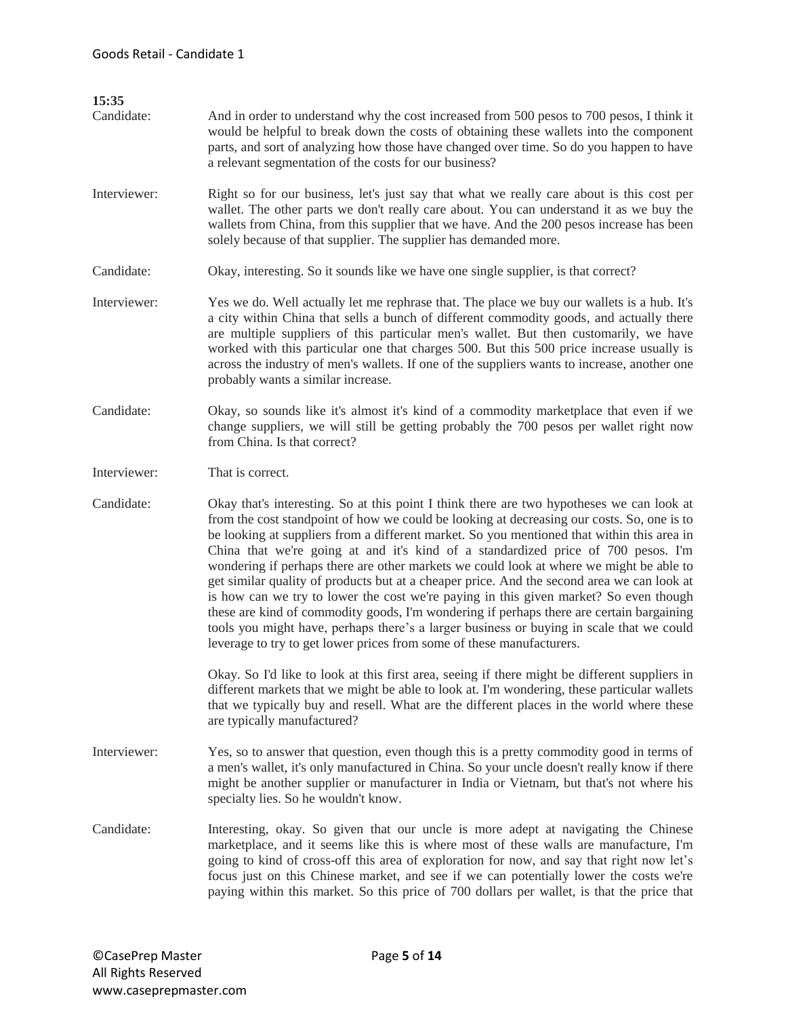| 15:35<br>Candidate: | And in order to understand why the cost increased from 500 pesos to 700 pesos, I think it<br>would be helpful to break down the costs of obtaining these wallets into the component<br>parts, and sort of analyzing how those have changed over time. So do you happen to have<br>a relevant segmentation of the costs for our business?                                                                                                                                                                                                                                                                                                                                                                                                                                                                                                                                                                                      |
|---------------------|-------------------------------------------------------------------------------------------------------------------------------------------------------------------------------------------------------------------------------------------------------------------------------------------------------------------------------------------------------------------------------------------------------------------------------------------------------------------------------------------------------------------------------------------------------------------------------------------------------------------------------------------------------------------------------------------------------------------------------------------------------------------------------------------------------------------------------------------------------------------------------------------------------------------------------|
| Interviewer:        | Right so for our business, let's just say that what we really care about is this cost per<br>wallet. The other parts we don't really care about. You can understand it as we buy the<br>wallets from China, from this supplier that we have. And the 200 pesos increase has been<br>solely because of that supplier. The supplier has demanded more.                                                                                                                                                                                                                                                                                                                                                                                                                                                                                                                                                                          |
| Candidate:          | Okay, interesting. So it sounds like we have one single supplier, is that correct?                                                                                                                                                                                                                                                                                                                                                                                                                                                                                                                                                                                                                                                                                                                                                                                                                                            |
| Interviewer:        | Yes we do. Well actually let me rephrase that. The place we buy our wallets is a hub. It's<br>a city within China that sells a bunch of different commodity goods, and actually there<br>are multiple suppliers of this particular men's wallet. But then customarily, we have<br>worked with this particular one that charges 500. But this 500 price increase usually is<br>across the industry of men's wallets. If one of the suppliers wants to increase, another one<br>probably wants a similar increase.                                                                                                                                                                                                                                                                                                                                                                                                              |
| Candidate:          | Okay, so sounds like it's almost it's kind of a commodity marketplace that even if we<br>change suppliers, we will still be getting probably the 700 pesos per wallet right now<br>from China. Is that correct?                                                                                                                                                                                                                                                                                                                                                                                                                                                                                                                                                                                                                                                                                                               |
| Interviewer:        | That is correct.                                                                                                                                                                                                                                                                                                                                                                                                                                                                                                                                                                                                                                                                                                                                                                                                                                                                                                              |
| Candidate:          | Okay that's interesting. So at this point I think there are two hypotheses we can look at<br>from the cost standpoint of how we could be looking at decreasing our costs. So, one is to<br>be looking at suppliers from a different market. So you mentioned that within this area in<br>China that we're going at and it's kind of a standardized price of 700 pesos. I'm<br>wondering if perhaps there are other markets we could look at where we might be able to<br>get similar quality of products but at a cheaper price. And the second area we can look at<br>is how can we try to lower the cost we're paying in this given market? So even though<br>these are kind of commodity goods, I'm wondering if perhaps there are certain bargaining<br>tools you might have, perhaps there's a larger business or buying in scale that we could<br>leverage to try to get lower prices from some of these manufacturers. |
|                     | Okay. So I'd like to look at this first area, seeing if there might be different suppliers in<br>different markets that we might be able to look at. I'm wondering, these particular wallets<br>that we typically buy and resell. What are the different places in the world where these<br>are typically manufactured?                                                                                                                                                                                                                                                                                                                                                                                                                                                                                                                                                                                                       |
| Interviewer:        | Yes, so to answer that question, even though this is a pretty commodity good in terms of<br>a men's wallet, it's only manufactured in China. So your uncle doesn't really know if there<br>might be another supplier or manufacturer in India or Vietnam, but that's not where his<br>specialty lies. So he wouldn't know.                                                                                                                                                                                                                                                                                                                                                                                                                                                                                                                                                                                                    |
| Candidate:          | Interesting, okay. So given that our uncle is more adept at navigating the Chinese<br>marketplace, and it seems like this is where most of these walls are manufacture, I'm<br>going to kind of cross-off this area of exploration for now, and say that right now let's<br>focus just on this Chinese market, and see if we can potentially lower the costs we're<br>paying within this market. So this price of 700 dollars per wallet, is that the price that                                                                                                                                                                                                                                                                                                                                                                                                                                                              |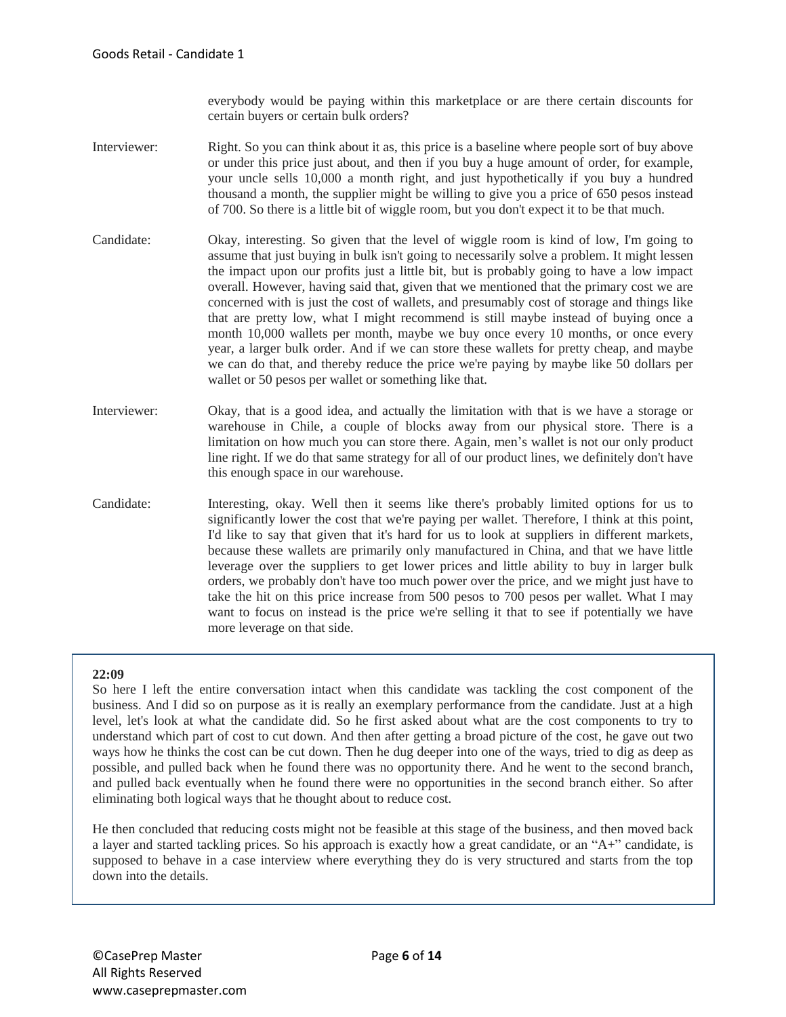everybody would be paying within this marketplace or are there certain discounts for certain buyers or certain bulk orders?

- Interviewer: Right. So you can think about it as, this price is a baseline where people sort of buy above or under this price just about, and then if you buy a huge amount of order, for example, your uncle sells 10,000 a month right, and just hypothetically if you buy a hundred thousand a month, the supplier might be willing to give you a price of 650 pesos instead of 700. So there is a little bit of wiggle room, but you don't expect it to be that much.
- Candidate: Okay, interesting. So given that the level of wiggle room is kind of low, I'm going to assume that just buying in bulk isn't going to necessarily solve a problem. It might lessen the impact upon our profits just a little bit, but is probably going to have a low impact overall. However, having said that, given that we mentioned that the primary cost we are concerned with is just the cost of wallets, and presumably cost of storage and things like that are pretty low, what I might recommend is still maybe instead of buying once a month 10,000 wallets per month, maybe we buy once every 10 months, or once every year, a larger bulk order. And if we can store these wallets for pretty cheap, and maybe we can do that, and thereby reduce the price we're paying by maybe like 50 dollars per wallet or 50 pesos per wallet or something like that.
- Interviewer: Okay, that is a good idea, and actually the limitation with that is we have a storage or warehouse in Chile, a couple of blocks away from our physical store. There is a limitation on how much you can store there. Again, men's wallet is not our only product line right. If we do that same strategy for all of our product lines, we definitely don't have this enough space in our warehouse.
- Candidate: Interesting, okay. Well then it seems like there's probably limited options for us to significantly lower the cost that we're paying per wallet. Therefore, I think at this point, I'd like to say that given that it's hard for us to look at suppliers in different markets, because these wallets are primarily only manufactured in China, and that we have little leverage over the suppliers to get lower prices and little ability to buy in larger bulk orders, we probably don't have too much power over the price, and we might just have to take the hit on this price increase from 500 pesos to 700 pesos per wallet. What I may want to focus on instead is the price we're selling it that to see if potentially we have more leverage on that side.

# **22:09**

So here I left the entire conversation intact when this candidate was tackling the cost component of the business. And I did so on purpose as it is really an exemplary performance from the candidate. Just at a high level, let's look at what the candidate did. So he first asked about what are the cost components to try to understand which part of cost to cut down. And then after getting a broad picture of the cost, he gave out two ways how he thinks the cost can be cut down. Then he dug deeper into one of the ways, tried to dig as deep as possible, and pulled back when he found there was no opportunity there. And he went to the second branch, and pulled back eventually when he found there were no opportunities in the second branch either. So after eliminating both logical ways that he thought about to reduce cost.

He then concluded that reducing costs might not be feasible at this stage of the business, and then moved back a layer and started tackling prices. So his approach is exactly how a great candidate, or an "A+" candidate, is supposed to behave in a case interview where everything they do is very structured and starts from the top down into the details.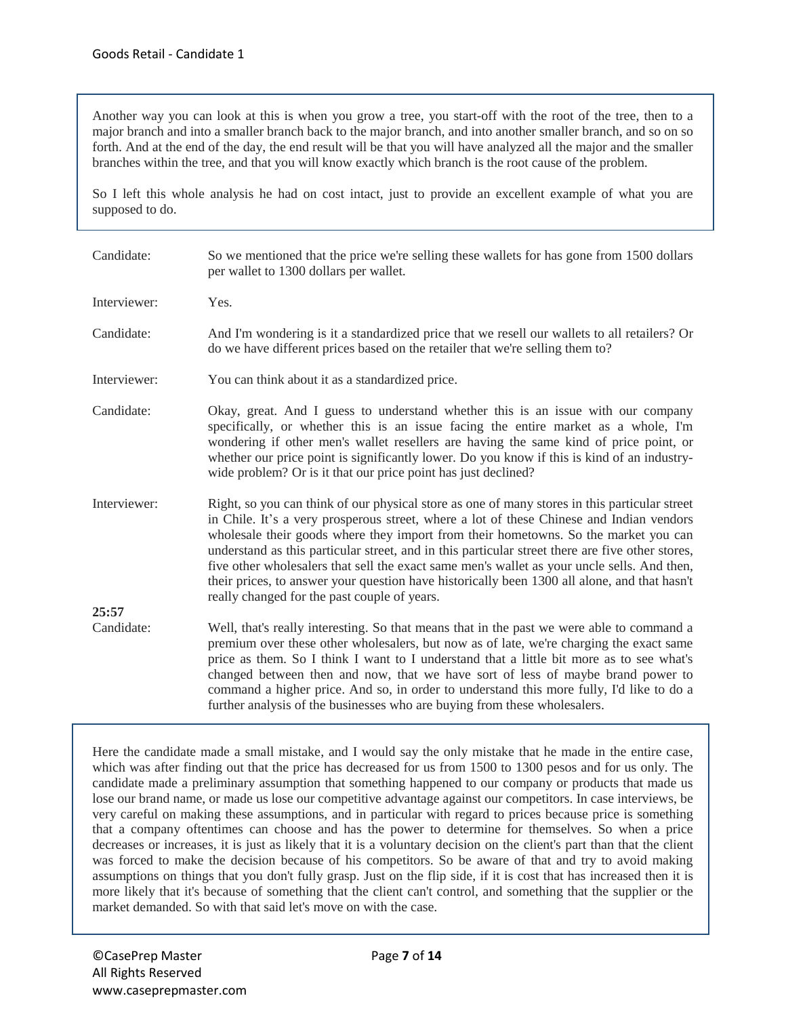Another way you can look at this is when you grow a tree, you start-off with the root of the tree, then to a major branch and into a smaller branch back to the major branch, and into another smaller branch, and so on so forth. And at the end of the day, the end result will be that you will have analyzed all the major and the smaller branches within the tree, and that you will know exactly which branch is the root cause of the problem.

So I left this whole analysis he had on cost intact, just to provide an excellent example of what you are supposed to do.

| Candidate:   | So we mentioned that the price we're selling these wallets for has gone from 1500 dollars<br>per wallet to 1300 dollars per wallet.                                                                                                                                                                                                                                                                                                                                                                                                                                                                                                 |
|--------------|-------------------------------------------------------------------------------------------------------------------------------------------------------------------------------------------------------------------------------------------------------------------------------------------------------------------------------------------------------------------------------------------------------------------------------------------------------------------------------------------------------------------------------------------------------------------------------------------------------------------------------------|
| Interviewer: | Yes.                                                                                                                                                                                                                                                                                                                                                                                                                                                                                                                                                                                                                                |
| Candidate:   | And I'm wondering is it a standardized price that we resell our wallets to all retailers? Or<br>do we have different prices based on the retailer that we're selling them to?                                                                                                                                                                                                                                                                                                                                                                                                                                                       |
| Interviewer: | You can think about it as a standardized price.                                                                                                                                                                                                                                                                                                                                                                                                                                                                                                                                                                                     |
| Candidate:   | Okay, great. And I guess to understand whether this is an issue with our company<br>specifically, or whether this is an issue facing the entire market as a whole, I'm<br>wondering if other men's wallet resellers are having the same kind of price point, or<br>whether our price point is significantly lower. Do you know if this is kind of an industry-<br>wide problem? Or is it that our price point has just declined?                                                                                                                                                                                                    |
| Interviewer: | Right, so you can think of our physical store as one of many stores in this particular street<br>in Chile. It's a very prosperous street, where a lot of these Chinese and Indian vendors<br>wholesale their goods where they import from their hometowns. So the market you can<br>understand as this particular street, and in this particular street there are five other stores,<br>five other wholesalers that sell the exact same men's wallet as your uncle sells. And then,<br>their prices, to answer your question have historically been 1300 all alone, and that hasn't<br>really changed for the past couple of years. |
| 25:57        |                                                                                                                                                                                                                                                                                                                                                                                                                                                                                                                                                                                                                                     |
| Candidate:   | Well, that's really interesting. So that means that in the past we were able to command a<br>premium over these other wholesalers, but now as of late, we're charging the exact same<br>price as them. So I think I want to I understand that a little bit more as to see what's<br>changed between then and now, that we have sort of less of maybe brand power to<br>command a higher price. And so, in order to understand this more fully, I'd like to do a<br>further analysis of the businesses who are buying from these wholesalers.                                                                                        |

Here the candidate made a small mistake, and I would say the only mistake that he made in the entire case, which was after finding out that the price has decreased for us from 1500 to 1300 pesos and for us only. The candidate made a preliminary assumption that something happened to our company or products that made us lose our brand name, or made us lose our competitive advantage against our competitors. In case interviews, be very careful on making these assumptions, and in particular with regard to prices because price is something that a company oftentimes can choose and has the power to determine for themselves. So when a price decreases or increases, it is just as likely that it is a voluntary decision on the client's part than that the client was forced to make the decision because of his competitors. So be aware of that and try to avoid making assumptions on things that you don't fully grasp. Just on the flip side, if it is cost that has increased then it is more likely that it's because of something that the client can't control, and something that the supplier or the market demanded. So with that said let's move on with the case.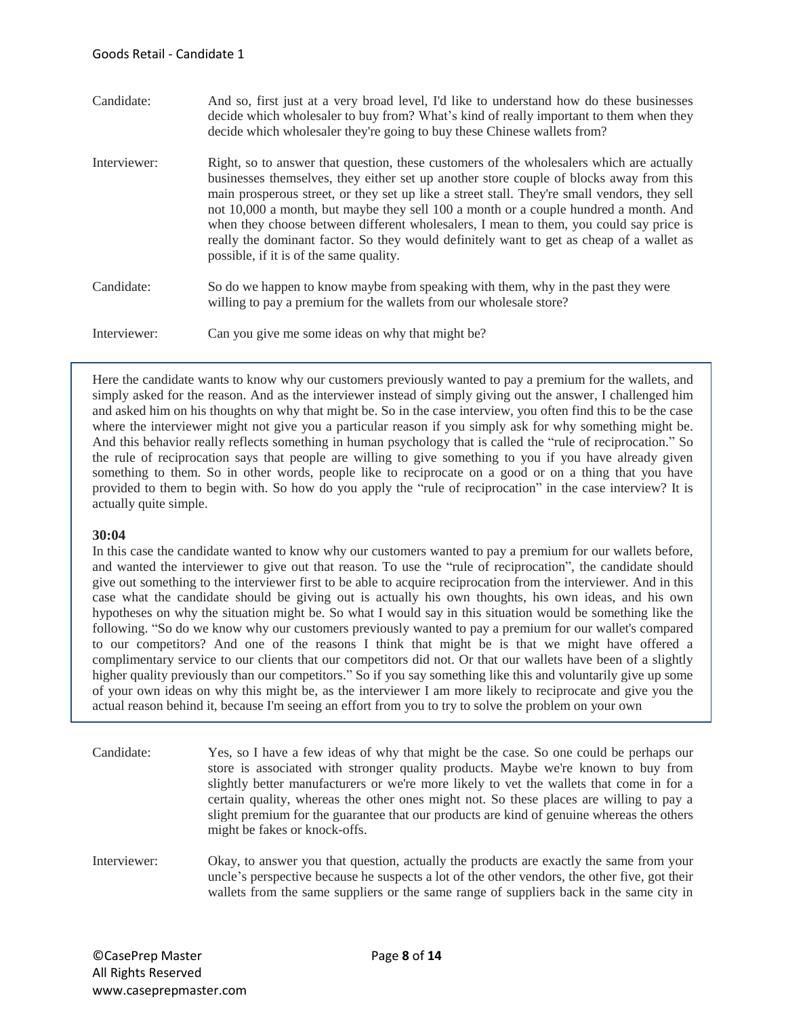| Candidate:   | And so, first just at a very broad level, I'd like to understand how do these businesses<br>decide which wholesaler to buy from? What's kind of really important to them when they<br>decide which wholesaler they're going to buy these Chinese wallets from?                                                                                                                                                                                                                                                                                                                                               |
|--------------|--------------------------------------------------------------------------------------------------------------------------------------------------------------------------------------------------------------------------------------------------------------------------------------------------------------------------------------------------------------------------------------------------------------------------------------------------------------------------------------------------------------------------------------------------------------------------------------------------------------|
| Interviewer: | Right, so to answer that question, these customers of the wholesalers which are actually<br>businesses themselves, they either set up another store couple of blocks away from this<br>main prosperous street, or they set up like a street stall. They're small vendors, they sell<br>not 10,000 a month, but maybe they sell 100 a month or a couple hundred a month. And<br>when they choose between different wholesalers, I mean to them, you could say price is<br>really the dominant factor. So they would definitely want to get as cheap of a wallet as<br>possible, if it is of the same quality. |
| Candidate:   | So do we happen to know maybe from speaking with them, why in the past they were<br>willing to pay a premium for the wallets from our wholesale store?                                                                                                                                                                                                                                                                                                                                                                                                                                                       |
| Interviewer: | Can you give me some ideas on why that might be?                                                                                                                                                                                                                                                                                                                                                                                                                                                                                                                                                             |

Here the candidate wants to know why our customers previously wanted to pay a premium for the wallets, and simply asked for the reason. And as the interviewer instead of simply giving out the answer, I challenged him and asked him on his thoughts on why that might be. So in the case interview, you often find this to be the case where the interviewer might not give you a particular reason if you simply ask for why something might be. And this behavior really reflects something in human psychology that is called the "rule of reciprocation." So the rule of reciprocation says that people are willing to give something to you if you have already given something to them. So in other words, people like to reciprocate on a good or on a thing that you have provided to them to begin with. So how do you apply the "rule of reciprocation" in the case interview? It is actually quite simple.

#### **30:04**

In this case the candidate wanted to know why our customers wanted to pay a premium for our wallets before, and wanted the interviewer to give out that reason. To use the "rule of reciprocation", the candidate should give out something to the interviewer first to be able to acquire reciprocation from the interviewer. And in this case what the candidate should be giving out is actually his own thoughts, his own ideas, and his own hypotheses on why the situation might be. So what I would say in this situation would be something like the following. "So do we know why our customers previously wanted to pay a premium for our wallet's compared to our competitors? And one of the reasons I think that might be is that we might have offered a complimentary service to our clients that our competitors did not. Or that our wallets have been of a slightly higher quality previously than our competitors." So if you say something like this and voluntarily give up some of your own ideas on why this might be, as the interviewer I am more likely to reciprocate and give you the actual reason behind it, because I'm seeing an effort from you to try to solve the problem on your own

| Candidate:   | Yes, so I have a few ideas of why that might be the case. So one could be perhaps our<br>store is associated with stronger quality products. Maybe we're known to buy from<br>slightly better manufacturers or we're more likely to vet the wallets that come in for a<br>certain quality, whereas the other ones might not. So these places are willing to pay a<br>slight premium for the guarantee that our products are kind of genuine whereas the others<br>might be fakes or knock-offs. |
|--------------|-------------------------------------------------------------------------------------------------------------------------------------------------------------------------------------------------------------------------------------------------------------------------------------------------------------------------------------------------------------------------------------------------------------------------------------------------------------------------------------------------|
| Interviewer: | Okay, to answer you that question, actually the products are exactly the same from your<br>uncle's perspective because he suspects a lot of the other vendors, the other five, got their<br>wallets from the same suppliers or the same range of suppliers back in the same city in                                                                                                                                                                                                             |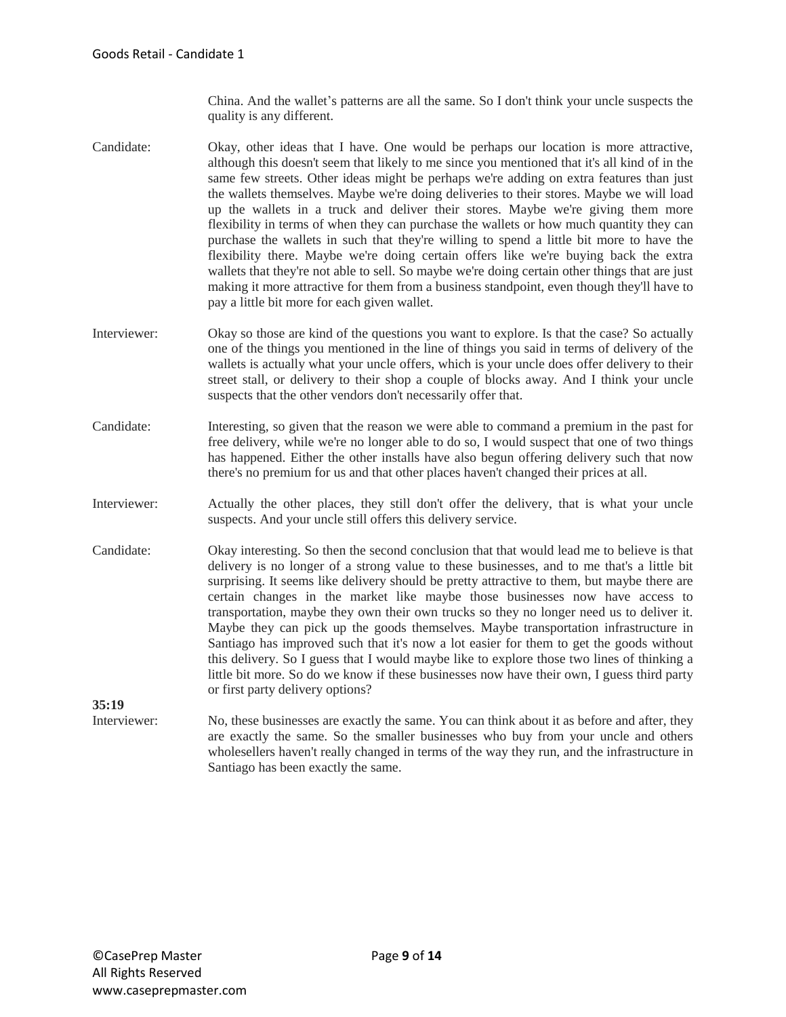China. And the wallet's patterns are all the same. So I don't think your uncle suspects the quality is any different.

- Candidate: Okay, other ideas that I have. One would be perhaps our location is more attractive, although this doesn't seem that likely to me since you mentioned that it's all kind of in the same few streets. Other ideas might be perhaps we're adding on extra features than just the wallets themselves. Maybe we're doing deliveries to their stores. Maybe we will load up the wallets in a truck and deliver their stores. Maybe we're giving them more flexibility in terms of when they can purchase the wallets or how much quantity they can purchase the wallets in such that they're willing to spend a little bit more to have the flexibility there. Maybe we're doing certain offers like we're buying back the extra wallets that they're not able to sell. So maybe we're doing certain other things that are just making it more attractive for them from a business standpoint, even though they'll have to pay a little bit more for each given wallet.
- Interviewer: Okay so those are kind of the questions you want to explore. Is that the case? So actually one of the things you mentioned in the line of things you said in terms of delivery of the wallets is actually what your uncle offers, which is your uncle does offer delivery to their street stall, or delivery to their shop a couple of blocks away. And I think your uncle suspects that the other vendors don't necessarily offer that.
- Candidate: Interesting, so given that the reason we were able to command a premium in the past for free delivery, while we're no longer able to do so, I would suspect that one of two things has happened. Either the other installs have also begun offering delivery such that now there's no premium for us and that other places haven't changed their prices at all.
- Interviewer: Actually the other places, they still don't offer the delivery, that is what your uncle suspects. And your uncle still offers this delivery service.
- Candidate: Okay interesting. So then the second conclusion that that would lead me to believe is that delivery is no longer of a strong value to these businesses, and to me that's a little bit surprising. It seems like delivery should be pretty attractive to them, but maybe there are certain changes in the market like maybe those businesses now have access to transportation, maybe they own their own trucks so they no longer need us to deliver it. Maybe they can pick up the goods themselves. Maybe transportation infrastructure in Santiago has improved such that it's now a lot easier for them to get the goods without this delivery. So I guess that I would maybe like to explore those two lines of thinking a little bit more. So do we know if these businesses now have their own, I guess third party or first party delivery options?

**35:19**

Interviewer: No, these businesses are exactly the same. You can think about it as before and after, they are exactly the same. So the smaller businesses who buy from your uncle and others wholesellers haven't really changed in terms of the way they run, and the infrastructure in Santiago has been exactly the same.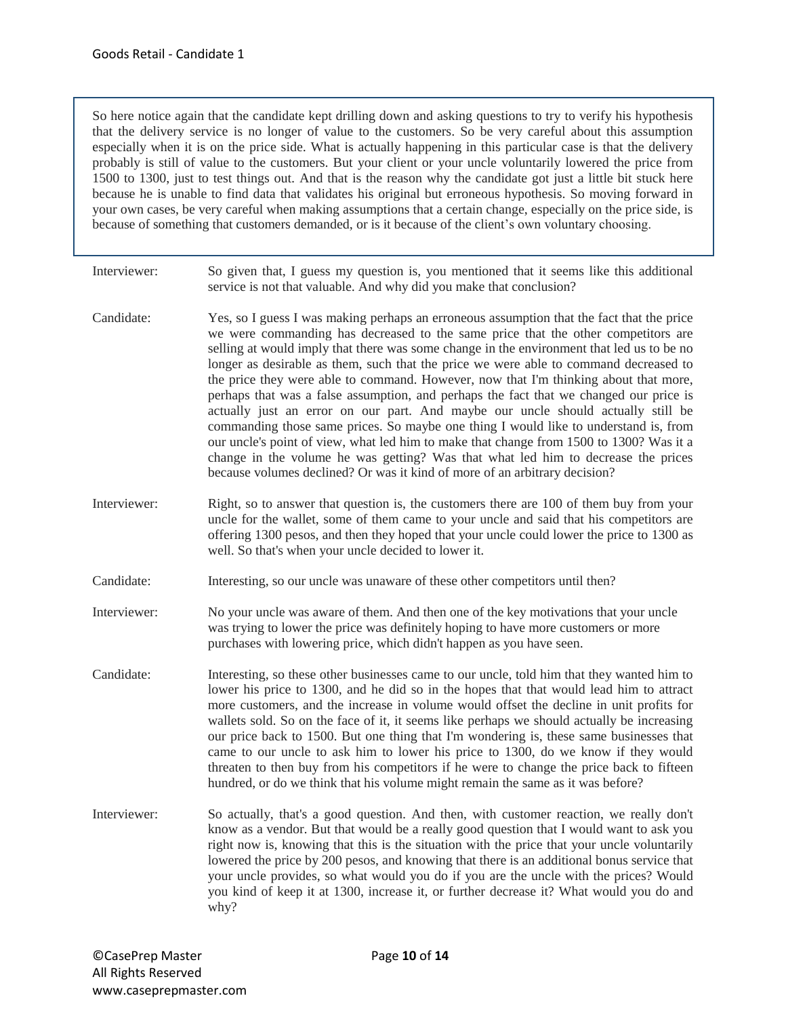So here notice again that the candidate kept drilling down and asking questions to try to verify his hypothesis that the delivery service is no longer of value to the customers. So be very careful about this assumption especially when it is on the price side. What is actually happening in this particular case is that the delivery probably is still of value to the customers. But your client or your uncle voluntarily lowered the price from 1500 to 1300, just to test things out. And that is the reason why the candidate got just a little bit stuck here because he is unable to find data that validates his original but erroneous hypothesis. So moving forward in your own cases, be very careful when making assumptions that a certain change, especially on the price side, is because of something that customers demanded, or is it because of the client's own voluntary choosing.

| Interviewer: | So given that, I guess my question is, you mentioned that it seems like this additional<br>service is not that valuable. And why did you make that conclusion?                                                                                                                                                                                                                                                                                                                                                                                                                                                                                                                                                                                                                                                                                                                                                                                                                                   |
|--------------|--------------------------------------------------------------------------------------------------------------------------------------------------------------------------------------------------------------------------------------------------------------------------------------------------------------------------------------------------------------------------------------------------------------------------------------------------------------------------------------------------------------------------------------------------------------------------------------------------------------------------------------------------------------------------------------------------------------------------------------------------------------------------------------------------------------------------------------------------------------------------------------------------------------------------------------------------------------------------------------------------|
| Candidate:   | Yes, so I guess I was making perhaps an erroneous assumption that the fact that the price<br>we were commanding has decreased to the same price that the other competitors are<br>selling at would imply that there was some change in the environment that led us to be no<br>longer as desirable as them, such that the price we were able to command decreased to<br>the price they were able to command. However, now that I'm thinking about that more,<br>perhaps that was a false assumption, and perhaps the fact that we changed our price is<br>actually just an error on our part. And maybe our uncle should actually still be<br>commanding those same prices. So maybe one thing I would like to understand is, from<br>our uncle's point of view, what led him to make that change from 1500 to 1300? Was it a<br>change in the volume he was getting? Was that what led him to decrease the prices<br>because volumes declined? Or was it kind of more of an arbitrary decision? |
| Interviewer: | Right, so to answer that question is, the customers there are 100 of them buy from your<br>uncle for the wallet, some of them came to your uncle and said that his competitors are<br>offering 1300 pesos, and then they hoped that your uncle could lower the price to 1300 as<br>well. So that's when your uncle decided to lower it.                                                                                                                                                                                                                                                                                                                                                                                                                                                                                                                                                                                                                                                          |
| Candidate:   | Interesting, so our uncle was unaware of these other competitors until then?                                                                                                                                                                                                                                                                                                                                                                                                                                                                                                                                                                                                                                                                                                                                                                                                                                                                                                                     |
| Interviewer: | No your uncle was aware of them. And then one of the key motivations that your uncle<br>was trying to lower the price was definitely hoping to have more customers or more<br>purchases with lowering price, which didn't happen as you have seen.                                                                                                                                                                                                                                                                                                                                                                                                                                                                                                                                                                                                                                                                                                                                               |
| Candidate:   | Interesting, so these other businesses came to our uncle, told him that they wanted him to<br>lower his price to 1300, and he did so in the hopes that that would lead him to attract<br>more customers, and the increase in volume would offset the decline in unit profits for<br>wallets sold. So on the face of it, it seems like perhaps we should actually be increasing<br>our price back to 1500. But one thing that I'm wondering is, these same businesses that<br>came to our uncle to ask him to lower his price to 1300, do we know if they would<br>threaten to then buy from his competitors if he were to change the price back to fifteen<br>hundred, or do we think that his volume might remain the same as it was before?                                                                                                                                                                                                                                                    |
| Interviewer: | So actually, that's a good question. And then, with customer reaction, we really don't<br>know as a vendor. But that would be a really good question that I would want to ask you<br>right now is, knowing that this is the situation with the price that your uncle voluntarily<br>lowered the price by 200 pesos, and knowing that there is an additional bonus service that<br>your uncle provides, so what would you do if you are the uncle with the prices? Would<br>you kind of keep it at 1300, increase it, or further decrease it? What would you do and<br>why?                                                                                                                                                                                                                                                                                                                                                                                                                       |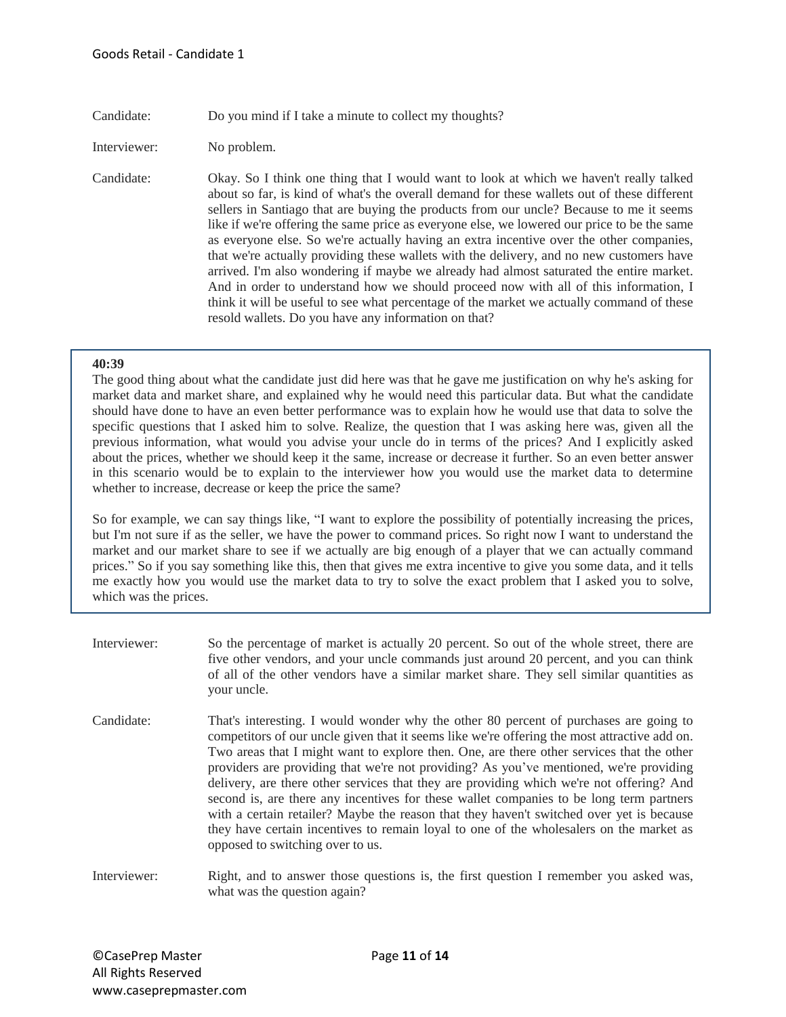## Candidate: Do you mind if I take a minute to collect my thoughts?

Interviewer: No problem.

Candidate: Okay. So I think one thing that I would want to look at which we haven't really talked about so far, is kind of what's the overall demand for these wallets out of these different sellers in Santiago that are buying the products from our uncle? Because to me it seems like if we're offering the same price as everyone else, we lowered our price to be the same as everyone else. So we're actually having an extra incentive over the other companies, that we're actually providing these wallets with the delivery, and no new customers have arrived. I'm also wondering if maybe we already had almost saturated the entire market. And in order to understand how we should proceed now with all of this information, I think it will be useful to see what percentage of the market we actually command of these resold wallets. Do you have any information on that?

## **40:39**

The good thing about what the candidate just did here was that he gave me justification on why he's asking for market data and market share, and explained why he would need this particular data. But what the candidate should have done to have an even better performance was to explain how he would use that data to solve the specific questions that I asked him to solve. Realize, the question that I was asking here was, given all the previous information, what would you advise your uncle do in terms of the prices? And I explicitly asked about the prices, whether we should keep it the same, increase or decrease it further. So an even better answer in this scenario would be to explain to the interviewer how you would use the market data to determine whether to increase, decrease or keep the price the same?

So for example, we can say things like, "I want to explore the possibility of potentially increasing the prices, but I'm not sure if as the seller, we have the power to command prices. So right now I want to understand the market and our market share to see if we actually are big enough of a player that we can actually command prices." So if you say something like this, then that gives me extra incentive to give you some data, and it tells me exactly how you would use the market data to try to solve the exact problem that I asked you to solve, which was the prices.

- Interviewer: So the percentage of market is actually 20 percent. So out of the whole street, there are five other vendors, and your uncle commands just around 20 percent, and you can think of all of the other vendors have a similar market share. They sell similar quantities as your uncle.
- Candidate: That's interesting. I would wonder why the other 80 percent of purchases are going to competitors of our uncle given that it seems like we're offering the most attractive add on. Two areas that I might want to explore then. One, are there other services that the other providers are providing that we're not providing? As you've mentioned, we're providing delivery, are there other services that they are providing which we're not offering? And second is, are there any incentives for these wallet companies to be long term partners with a certain retailer? Maybe the reason that they haven't switched over yet is because they have certain incentives to remain loyal to one of the wholesalers on the market as opposed to switching over to us.

Interviewer: Right, and to answer those questions is, the first question I remember you asked was, what was the question again?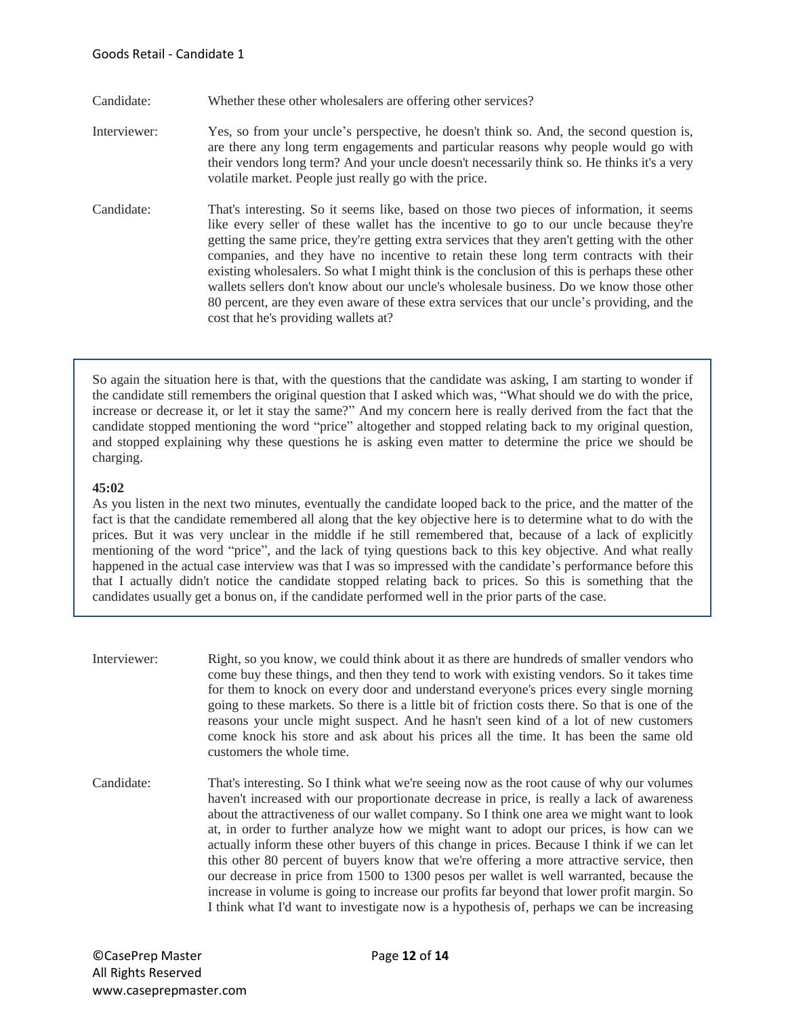- Candidate: Whether these other wholesalers are offering other services?
- Interviewer: Yes, so from your uncle's perspective, he doesn't think so. And, the second question is, are there any long term engagements and particular reasons why people would go with their vendors long term? And your uncle doesn't necessarily think so. He thinks it's a very volatile market. People just really go with the price.
- Candidate: That's interesting. So it seems like, based on those two pieces of information, it seems like every seller of these wallet has the incentive to go to our uncle because they're getting the same price, they're getting extra services that they aren't getting with the other companies, and they have no incentive to retain these long term contracts with their existing wholesalers. So what I might think is the conclusion of this is perhaps these other wallets sellers don't know about our uncle's wholesale business. Do we know those other 80 percent, are they even aware of these extra services that our uncle's providing, and the cost that he's providing wallets at?

So again the situation here is that, with the questions that the candidate was asking, I am starting to wonder if the candidate still remembers the original question that I asked which was, "What should we do with the price, increase or decrease it, or let it stay the same?" And my concern here is really derived from the fact that the candidate stopped mentioning the word "price" altogether and stopped relating back to my original question, and stopped explaining why these questions he is asking even matter to determine the price we should be charging.

# **45:02**

As you listen in the next two minutes, eventually the candidate looped back to the price, and the matter of the fact is that the candidate remembered all along that the key objective here is to determine what to do with the prices. But it was very unclear in the middle if he still remembered that, because of a lack of explicitly mentioning of the word "price", and the lack of tying questions back to this key objective. And what really happened in the actual case interview was that I was so impressed with the candidate's performance before this that I actually didn't notice the candidate stopped relating back to prices. So this is something that the candidates usually get a bonus on, if the candidate performed well in the prior parts of the case.

- Interviewer: Right, so you know, we could think about it as there are hundreds of smaller vendors who come buy these things, and then they tend to work with existing vendors. So it takes time for them to knock on every door and understand everyone's prices every single morning going to these markets. So there is a little bit of friction costs there. So that is one of the reasons your uncle might suspect. And he hasn't seen kind of a lot of new customers come knock his store and ask about his prices all the time. It has been the same old customers the whole time.
- Candidate: That's interesting. So I think what we're seeing now as the root cause of why our volumes haven't increased with our proportionate decrease in price, is really a lack of awareness about the attractiveness of our wallet company. So I think one area we might want to look at, in order to further analyze how we might want to adopt our prices, is how can we actually inform these other buyers of this change in prices. Because I think if we can let this other 80 percent of buyers know that we're offering a more attractive service, then our decrease in price from 1500 to 1300 pesos per wallet is well warranted, because the increase in volume is going to increase our profits far beyond that lower profit margin. So I think what I'd want to investigate now is a hypothesis of, perhaps we can be increasing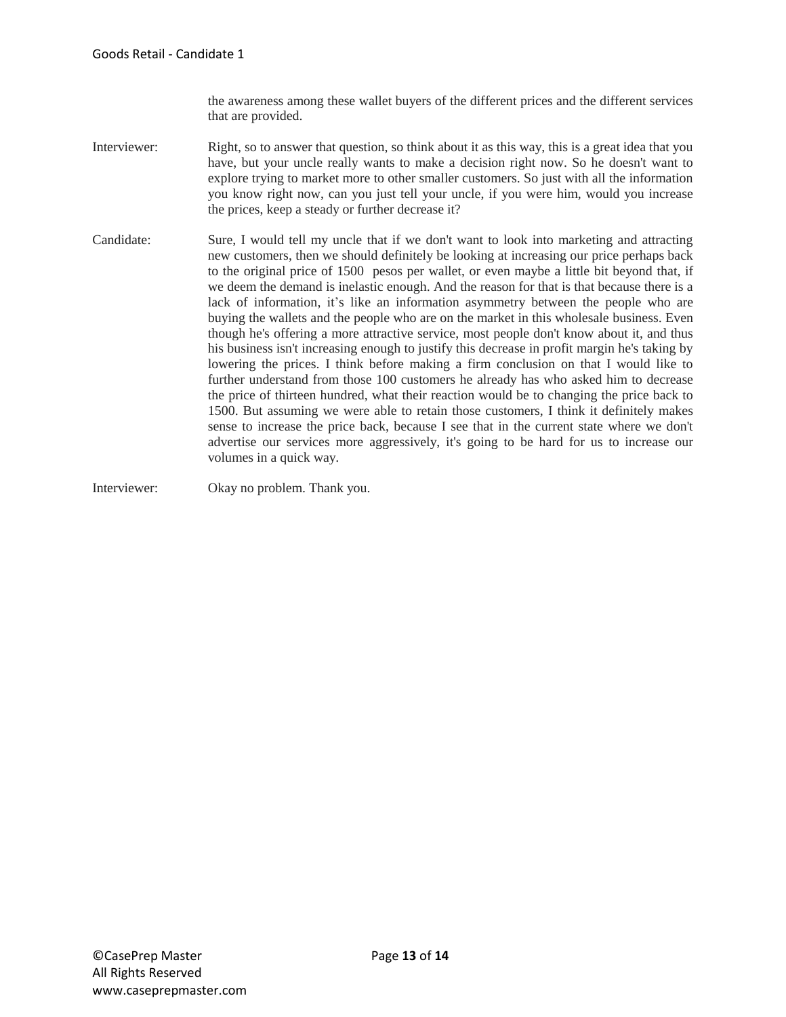the awareness among these wallet buyers of the different prices and the different services that are provided.

- Interviewer: Right, so to answer that question, so think about it as this way, this is a great idea that you have, but your uncle really wants to make a decision right now. So he doesn't want to explore trying to market more to other smaller customers. So just with all the information you know right now, can you just tell your uncle, if you were him, would you increase the prices, keep a steady or further decrease it?
- Candidate: Sure, I would tell my uncle that if we don't want to look into marketing and attracting new customers, then we should definitely be looking at increasing our price perhaps back to the original price of 1500 pesos per wallet, or even maybe a little bit beyond that, if we deem the demand is inelastic enough. And the reason for that is that because there is a lack of information, it's like an information asymmetry between the people who are buying the wallets and the people who are on the market in this wholesale business. Even though he's offering a more attractive service, most people don't know about it, and thus his business isn't increasing enough to justify this decrease in profit margin he's taking by lowering the prices. I think before making a firm conclusion on that I would like to further understand from those 100 customers he already has who asked him to decrease the price of thirteen hundred, what their reaction would be to changing the price back to 1500. But assuming we were able to retain those customers, I think it definitely makes sense to increase the price back, because I see that in the current state where we don't advertise our services more aggressively, it's going to be hard for us to increase our volumes in a quick way.

Interviewer: Okay no problem. Thank you.